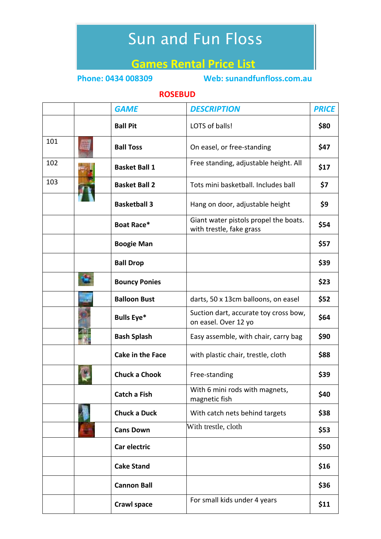## Sun and Fun Floss

## **Games Rental Price List**

**Phone: 0434 008309 Web: sunandfunfloss.com.au**

## **ROSEBUD**

|     | <b>GAME</b>             | <b>DESCRIPTION</b>                                                | <b>PRICE</b> |
|-----|-------------------------|-------------------------------------------------------------------|--------------|
|     | <b>Ball Pit</b>         | LOTS of balls!                                                    | \$80         |
| 101 | <b>Ball Toss</b>        | On easel, or free-standing                                        | \$47         |
| 102 | <b>Basket Ball 1</b>    | Free standing, adjustable height. All                             | \$17         |
| 103 | <b>Basket Ball 2</b>    | Tots mini basketball. Includes ball                               | \$7          |
|     | <b>Basketball 3</b>     | Hang on door, adjustable height                                   | \$9          |
|     | Boat Race*              | Giant water pistols propel the boats.<br>with trestle, fake grass | \$54         |
|     | <b>Boogie Man</b>       |                                                                   | \$57         |
|     | <b>Ball Drop</b>        |                                                                   | \$39         |
|     | <b>Bouncy Ponies</b>    |                                                                   | \$23         |
|     | <b>Balloon Bust</b>     | darts, 50 x 13cm balloons, on easel                               | \$52         |
|     | <b>Bulls Eye*</b>       | Suction dart, accurate toy cross bow,<br>on easel. Over 12 yo     | \$64         |
|     | <b>Bash Splash</b>      | Easy assemble, with chair, carry bag                              | \$90         |
|     | <b>Cake in the Face</b> | with plastic chair, trestle, cloth                                | \$88         |
|     | <b>Chuck a Chook</b>    | Free-standing                                                     | \$39         |
|     | Catch a Fish            | With 6 mini rods with magnets,<br>magnetic fish                   | \$40         |
|     | <b>Chuck a Duck</b>     | With catch nets behind targets                                    | \$38         |
|     | <b>Cans Down</b>        | With trestle, cloth                                               | \$53         |
|     | Car electric            |                                                                   | \$50         |
|     | <b>Cake Stand</b>       |                                                                   | \$16         |
|     | <b>Cannon Ball</b>      |                                                                   | \$36         |
|     | <b>Crawl space</b>      | For small kids under 4 years                                      | \$11         |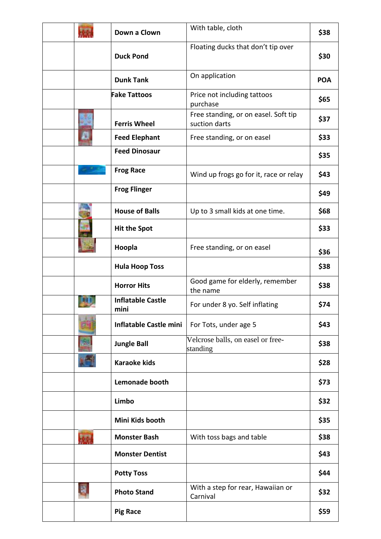|           | Down a Clown                     | With table, cloth                                     | \$38       |
|-----------|----------------------------------|-------------------------------------------------------|------------|
|           | <b>Duck Pond</b>                 | Floating ducks that don't tip over                    | \$30       |
|           | <b>Dunk Tank</b>                 | On application                                        | <b>POA</b> |
|           | <b>Fake Tattoos</b>              | Price not including tattoos<br>purchase               | \$65       |
|           | <b>Ferris Wheel</b>              | Free standing, or on easel. Soft tip<br>suction darts | \$37       |
|           | <b>Feed Elephant</b>             | Free standing, or on easel                            | \$33       |
|           | <b>Feed Dinosaur</b>             |                                                       | \$35       |
|           | <b>Frog Race</b>                 | Wind up frogs go for it, race or relay                | \$43       |
|           | <b>Frog Flinger</b>              |                                                       | \$49       |
|           | <b>House of Balls</b>            | Up to 3 small kids at one time.                       | \$68       |
|           | <b>Hit the Spot</b>              |                                                       | \$33       |
|           | Hoopla                           | Free standing, or on easel                            | \$36       |
|           | <b>Hula Hoop Toss</b>            |                                                       | \$38       |
|           | <b>Horror Hits</b>               | Good game for elderly, remember<br>the name           | \$38       |
|           | <b>Inflatable Castle</b><br>mini | For under 8 yo. Self inflating                        | \$74       |
|           | <b>Inflatable Castle mini</b>    | For Tots, under age 5                                 | \$43       |
|           | <b>Jungle Ball</b>               | Velcrose balls, on easel or free-<br>standing         | \$38       |
|           | <b>Karaoke kids</b>              |                                                       | \$28       |
|           | Lemonade booth                   |                                                       | \$73       |
|           | Limbo                            |                                                       | \$32       |
|           | Mini Kids booth                  |                                                       | \$35       |
| <b>AN</b> | <b>Monster Bash</b>              | With toss bags and table                              | \$38       |
|           | <b>Monster Dentist</b>           |                                                       | \$43       |
|           | <b>Potty Toss</b>                |                                                       | \$44       |
|           | <b>Photo Stand</b>               | With a step for rear, Hawaiian or<br>Carnival         | \$32       |
|           | <b>Pig Race</b>                  |                                                       | \$59       |